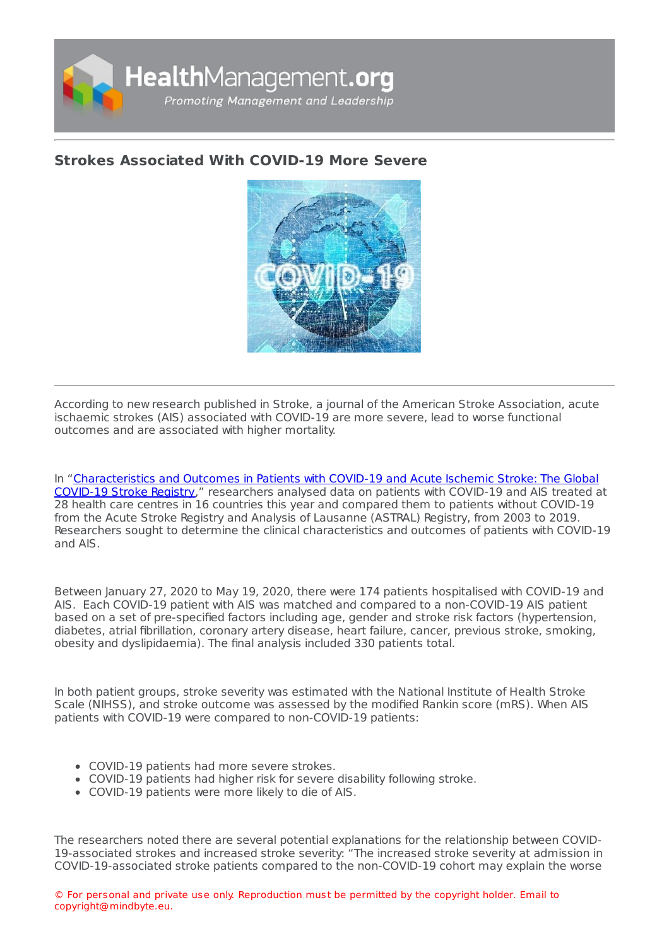

## **Strokes [Associated](https://healthmanagement.org/s/strokes-associated-with-covid-19-more-severe) With COVID-19 More Severe**



According to new research published in Stroke, a journal of the American Stroke Association, acute ischaemic strokes (AIS) associated with COVID-19 are more severe, lead to worse functional outcomes and are associated with higher mortality.

In ["Characteristics](https://www.ahajournals.org/doi/10.1161/STROKEAHA.120.031208) and Outcomes in Patients with COVID-19 and Acute Ischemic Stroke: The Global COVID-19 Stroke Registry," researchers analysed data on patients with COVID-19 and AIS treated at 28 health care centres in 16 countries this year and compared them to patients without COVID-19 from the Acute Stroke Registry and Analysis of Lausanne (ASTRAL) Registry, from 2003 to 2019. Researchers sought to determine the clinical characteristics and outcomes of patients with COVID-19 and AIS.

Between January 27, 2020 to May 19, 2020, there were 174 patients hospitalised with COVID-19 and AIS. Each COVID-19 patient with AIS was matched and compared to a non-COVID-19 AIS patient based on a set of pre-specified factors including age, gender and stroke risk factors (hypertension, diabetes, atrial fibrillation, coronary artery disease, heart failure, cancer, previous stroke, smoking, obesity and dyslipidaemia). The final analysis included 330 patients total.

In both patient groups, stroke severity was estimated with the National Institute of Health Stroke Scale (NIHSS), and stroke outcome was assessed by the modified Rankin score (mRS). When AIS patients with COVID-19 were compared to non-COVID-19 patients:

- COVID-19 patients had more severe strokes.
- COVID-19 patients had higher risk for severe disability following stroke.
- COVID-19 patients were more likely to die of AIS.

The researchers noted there are several potential explanations for the relationship between COVID-19-associated strokes and increased stroke severity: "The increased stroke severity at admission in COVID-19-associated stroke patients compared to the non-COVID-19 cohort may explain the worse

© For personal and private use only. Reproduction must be permitted by the copyright holder. Email to copyright@mindbyte.eu.